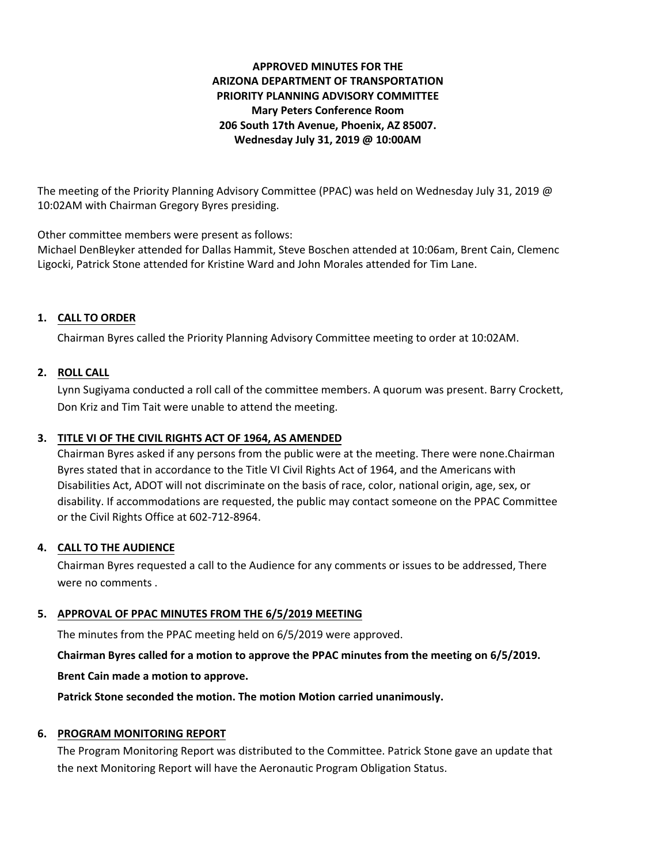# **APPROVED MINUTES FOR THE ARIZONA DEPARTMENT OF TRANSPORTATION PRIORITY PLANNING ADVISORY COMMITTEE Mary Peters Conference Room 206 South 17th Avenue, Phoenix, AZ 85007. Wednesday July 31, 2019 @ 10:00AM**

The meeting of the Priority Planning Advisory Committee (PPAC) was held on Wednesday July 31, 2019 @ 10:02AM with Chairman Gregory Byres presiding.

Other committee members were present as follows:

Michael DenBleyker attended for Dallas Hammit, Steve Boschen attended at 10:06am, Brent Cain, Clemenc Ligocki, Patrick Stone attended for Kristine Ward and John Morales attended for Tim Lane.

# **1. CALL TO ORDER**

Chairman Byres called the Priority Planning Advisory Committee meeting to order at 10:02AM.

### **2. ROLL CALL**

Lynn Sugiyama conducted a roll call of the committee members. A quorum was present. Barry Crockett, Don Kriz and Tim Tait were unable to attend the meeting.

### **3. TITLE VI OF THE CIVIL RIGHTS ACT OF 1964, AS AMENDED**

Chairman Byres asked if any persons from the public were at the meeting. There were none.Chairman Byres stated that in accordance to the Title VI Civil Rights Act of 1964, and the Americans with Disabilities Act, ADOT will not discriminate on the basis of race, color, national origin, age, sex, or disability. If accommodations are requested, the public may contact someone on the PPAC Committee or the Civil Rights Office at 602-712-8964.

#### **4. CALL TO THE AUDIENCE**

Chairman Byres requested a call to the Audience for any comments or issues to be addressed, There were no comments .

#### **5. APPROVAL OF PPAC MINUTES FROM THE 6/5/2019 MEETING**

The minutes from the PPAC meeting held on 6/5/2019 were approved.

**Chairman Byres called for a motion to approve the PPAC minutes from the meeting on 6/5/2019.**

**Brent Cain made a motion to approve.**

**Patrick Stone seconded the motion. The motion Motion carried unanimously.**

# **6. PROGRAM MONITORING REPORT**

The Program Monitoring Report was distributed to the Committee. Patrick Stone gave an update that the next Monitoring Report will have the Aeronautic Program Obligation Status.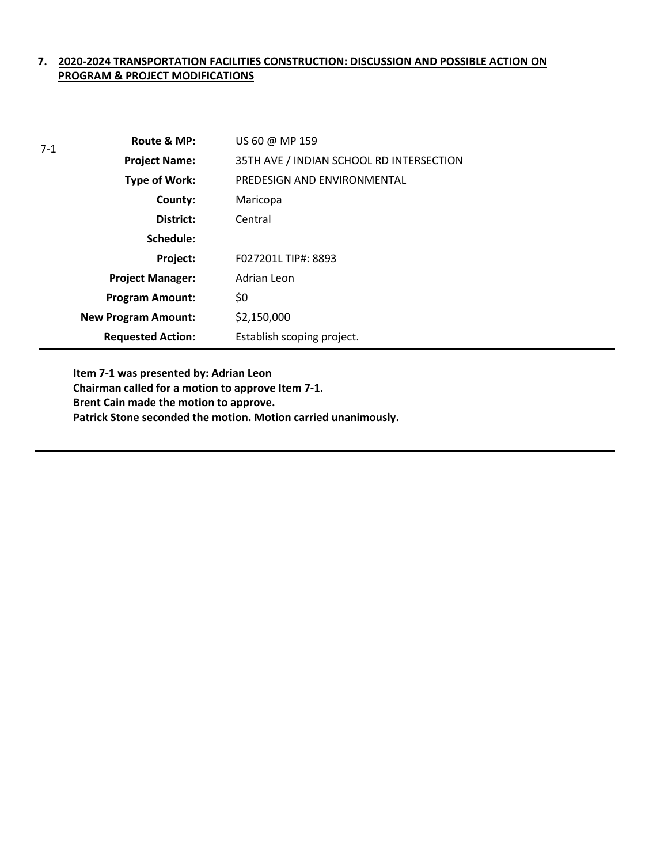### **7. 2020-2024 TRANSPORTATION FACILITIES CONSTRUCTION: DISCUSSION AND POSSIBLE ACTION ON PROGRAM & PROJECT MODIFICATIONS**

| $7-1$ | Route & MP:                | US 60 @ MP 159                           |
|-------|----------------------------|------------------------------------------|
|       | <b>Project Name:</b>       | 35TH AVE / INDIAN SCHOOL RD INTERSECTION |
|       | Type of Work:              | PREDESIGN AND ENVIRONMENTAL              |
|       | County:                    | Maricopa                                 |
|       | District:                  | Central                                  |
|       | Schedule:                  |                                          |
|       | Project:                   | F027201L TIP#: 8893                      |
|       | <b>Project Manager:</b>    | Adrian Leon                              |
|       | <b>Program Amount:</b>     | \$0                                      |
|       | <b>New Program Amount:</b> | \$2,150,000                              |
|       | <b>Requested Action:</b>   | Establish scoping project.               |

**Item 7-1 was presented by: Adrian Leon Chairman called for a motion to approve Item 7-1. Brent Cain made the motion to approve. Patrick Stone seconded the motion. Motion carried unanimously.**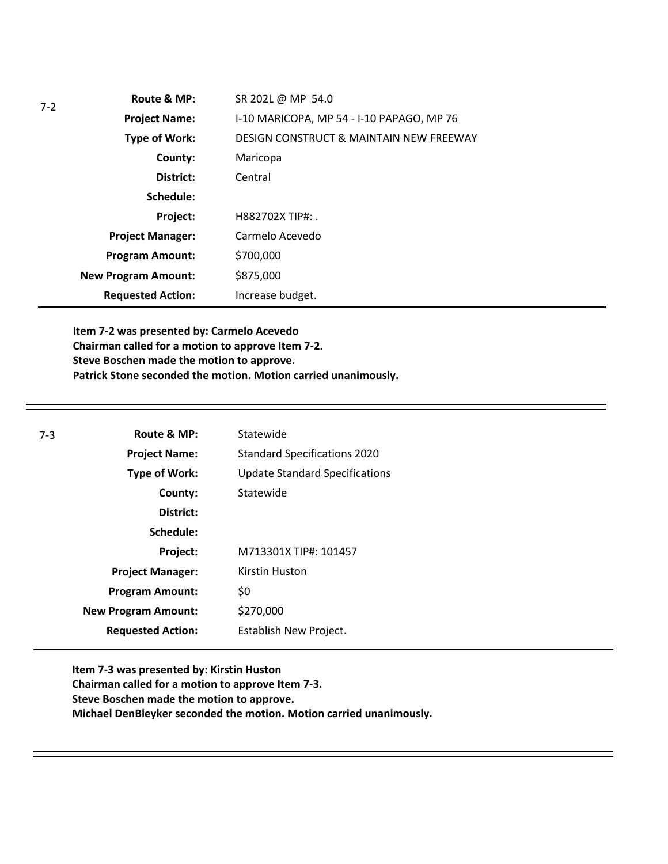| Route & MP:                | SR 202L @ MP 54.0                         |
|----------------------------|-------------------------------------------|
| <b>Project Name:</b>       | I-10 MARICOPA, MP 54 - I-10 PAPAGO, MP 76 |
| Type of Work:              | DESIGN CONSTRUCT & MAINTAIN NEW FREEWAY   |
| County:                    | Maricopa                                  |
| District:                  | Central                                   |
| Schedule:                  |                                           |
| Project:                   | H882702X TIP#:                            |
| <b>Project Manager:</b>    | Carmelo Acevedo                           |
| <b>Program Amount:</b>     | \$700,000                                 |
| <b>New Program Amount:</b> | \$875,000                                 |
| <b>Requested Action:</b>   | Increase budget.                          |
|                            |                                           |

**Item 7-2 was presented by: Carmelo Acevedo Chairman called for a motion to approve Item 7-2. Steve Boschen made the motion to approve. Patrick Stone seconded the motion. Motion carried unanimously.**

| $7-3$ | Route & MP:                | Statewide                             |
|-------|----------------------------|---------------------------------------|
|       | <b>Project Name:</b>       | <b>Standard Specifications 2020</b>   |
|       | <b>Type of Work:</b>       | <b>Update Standard Specifications</b> |
|       | County:                    | Statewide                             |
|       | District:                  |                                       |
|       | Schedule:                  |                                       |
|       | Project:                   | M713301X TIP#: 101457                 |
|       | <b>Project Manager:</b>    | Kirstin Huston                        |
|       | <b>Program Amount:</b>     | \$0                                   |
|       | <b>New Program Amount:</b> | \$270,000                             |
|       | <b>Requested Action:</b>   | Establish New Project.                |

**Item 7-3 was presented by: Kirstin Huston Chairman called for a motion to approve Item 7-3. Steve Boschen made the motion to approve. Michael DenBleyker seconded the motion. Motion carried unanimously.**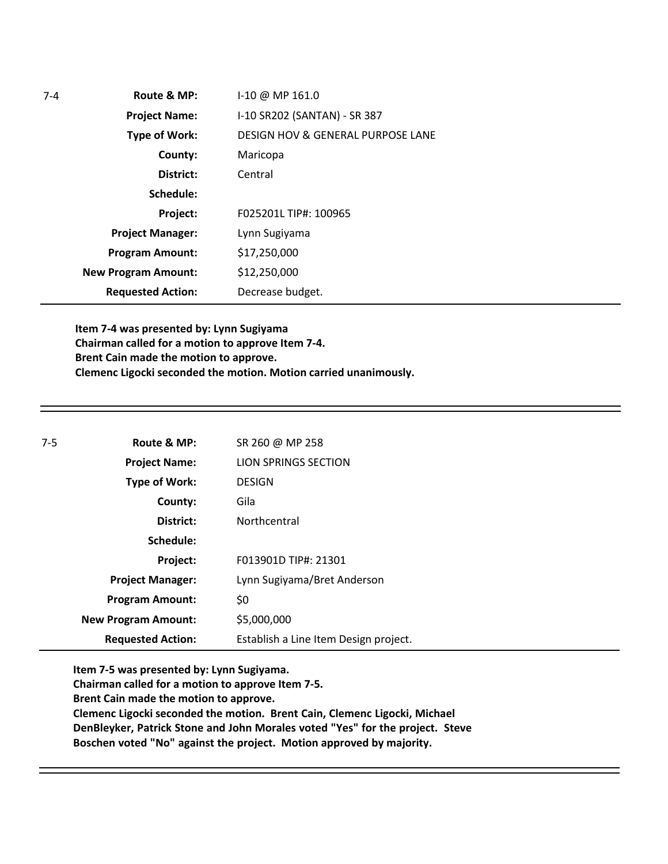| $7-4$ | Route & MP:                | I-10 @ MP 161.0                              |
|-------|----------------------------|----------------------------------------------|
|       | <b>Project Name:</b>       | I-10 SR202 (SANTAN) - SR 387                 |
|       | Type of Work:              | <b>DESIGN HOV &amp; GENERAL PURPOSE LANE</b> |
|       | County:                    | Maricopa                                     |
|       | District:                  | Central                                      |
|       | Schedule:                  |                                              |
|       | Project:                   | F025201L TIP#: 100965                        |
|       | <b>Project Manager:</b>    | Lynn Sugiyama                                |
|       | <b>Program Amount:</b>     | \$17,250,000                                 |
|       | <b>New Program Amount:</b> | \$12,250,000                                 |
|       | <b>Requested Action:</b>   | Decrease budget.                             |

**Item 7-4 was presented by: Lynn Sugiyama Chairman called for a motion to approve Item 7-4. Brent Cain made the motion to approve. Clemenc Ligocki seconded the motion. Motion carried unanimously.**

| $7-5$ | Route & MP:                | SR 260 @ MP 258                       |
|-------|----------------------------|---------------------------------------|
|       | <b>Project Name:</b>       | LION SPRINGS SECTION                  |
|       | Type of Work:              | <b>DESIGN</b>                         |
|       | County:                    | Gila                                  |
|       | District:                  | Northcentral                          |
|       | Schedule:                  |                                       |
|       | Project:                   | F013901D TIP#: 21301                  |
|       | <b>Project Manager:</b>    | Lynn Sugiyama/Bret Anderson           |
|       | <b>Program Amount:</b>     | \$0                                   |
|       | <b>New Program Amount:</b> | \$5,000,000                           |
|       | <b>Requested Action:</b>   | Establish a Line Item Design project. |

**Item 7-5 was presented by: Lynn Sugiyama.** 

**Chairman called for a motion to approve Item 7-5.** 

**Brent Cain made the motion to approve.** 

**Clemenc Ligocki seconded the motion. Brent Cain, Clemenc Ligocki, Michael DenBleyker, Patrick Stone and John Morales voted "Yes" for the project. Steve Boschen voted "No" against the project. Motion approved by majority.**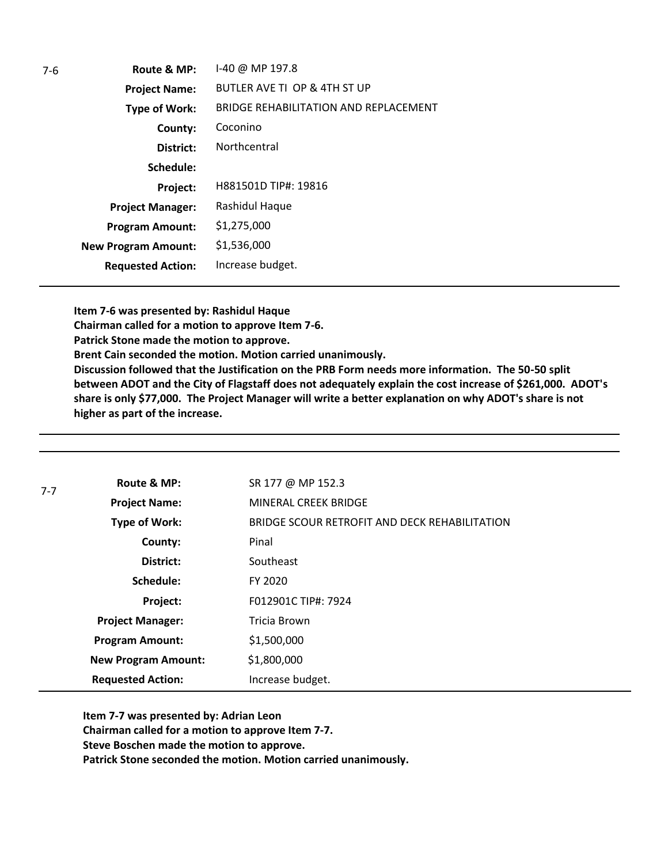| 7-6 | Route & MP:                | I-40 @ MP 197.8                       |
|-----|----------------------------|---------------------------------------|
|     | <b>Project Name:</b>       | BUTLER AVE TI OP & 4TH ST UP          |
|     | Type of Work:              | BRIDGE REHABILITATION AND REPLACEMENT |
|     | County:                    | Coconino                              |
|     | District:                  | Northcentral                          |
|     | Schedule:                  |                                       |
|     | Project:                   | H881501D TIP#: 19816                  |
|     | <b>Project Manager:</b>    | Rashidul Haque                        |
|     | <b>Program Amount:</b>     | \$1,275,000                           |
|     | <b>New Program Amount:</b> | \$1,536,000                           |
|     | <b>Requested Action:</b>   | Increase budget.                      |
|     |                            |                                       |

**Item 7-6 was presented by: Rashidul Haque Chairman called for a motion to approve Item 7-6. Patrick Stone made the motion to approve. Brent Cain seconded the motion. Motion carried unanimously. Discussion followed that the Justification on the PRB Form needs more information. The 50-50 split between ADOT and the City of Flagstaff does not adequately explain the cost increase of \$261,000. ADOT's share is only \$77,000. The Project Manager will write a better explanation on why ADOT's share is not higher as part of the increase.** 

| $7 - 7$                 | Route & MP:                | SR 177 @ MP 152.3                             |
|-------------------------|----------------------------|-----------------------------------------------|
|                         | <b>Project Name:</b>       | <b>MINERAL CREEK BRIDGE</b>                   |
|                         | <b>Type of Work:</b>       | BRIDGE SCOUR RETROFIT AND DECK REHABILITATION |
|                         | County:                    | Pinal                                         |
|                         | District:                  | Southeast                                     |
|                         | Schedule:                  | FY 2020                                       |
|                         | Project:                   | F012901C TIP#: 7924                           |
| <b>Project Manager:</b> |                            | Tricia Brown                                  |
|                         | <b>Program Amount:</b>     | \$1,500,000                                   |
|                         | <b>New Program Amount:</b> | \$1,800,000                                   |
|                         | <b>Requested Action:</b>   | Increase budget.                              |

**Item 7-7 was presented by: Adrian Leon Chairman called for a motion to approve Item 7-7. Steve Boschen made the motion to approve. Patrick Stone seconded the motion. Motion carried unanimously.**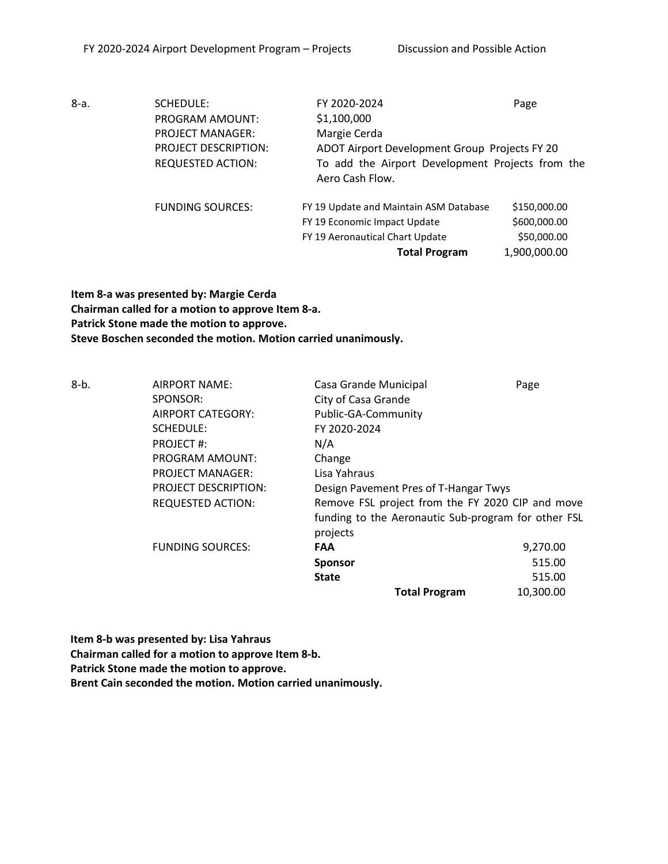8-a. SCHEDULE: PROGRAM AMOUNT: PROJECT MANAGER: PROJECT DESCRIPTION: REQUESTED ACTION: FY 2020-2024 Page \$1,100,000 Margie Cerda ADOT Airport Development Group Projects FY 20 To add the Airport Development Projects from the Aero Cash Flow. FUNDING SOURCES: FY 19 Update and Maintain ASM Database \$150,000.00 FY 19 Economic Impact Update \$600,000.00 FY 19 Aeronautical Chart Update \$50,000.00 **Total Program** 1,900,000.00

**Item 8-a was presented by: Margie Cerda Chairman called for a motion to approve Item 8-a. Patrick Stone made the motion to approve. Steve Boschen seconded the motion. Motion carried unanimously.** 

| $8-b.$ | <b>AIRPORT NAME:</b>        | Casa Grande Municipal                               | Page      |
|--------|-----------------------------|-----------------------------------------------------|-----------|
|        | SPONSOR:                    | City of Casa Grande                                 |           |
|        | AIRPORT CATEGORY:           | Public-GA-Community                                 |           |
|        | <b>SCHEDULE:</b>            | FY 2020-2024                                        |           |
|        | PROJECT#:                   | N/A                                                 |           |
|        | <b>PROGRAM AMOUNT:</b>      | Change                                              |           |
|        | <b>PROJECT MANAGER:</b>     | Lisa Yahraus                                        |           |
|        | <b>PROJECT DESCRIPTION:</b> | Design Pavement Pres of T-Hangar Twys               |           |
|        | <b>REQUESTED ACTION:</b>    | Remove FSL project from the FY 2020 CIP and move    |           |
|        |                             | funding to the Aeronautic Sub-program for other FSL |           |
|        |                             | projects                                            |           |
|        | <b>FUNDING SOURCES:</b>     | <b>FAA</b>                                          | 9,270.00  |
|        |                             | <b>Sponsor</b>                                      | 515.00    |
|        |                             | <b>State</b>                                        | 515.00    |
|        |                             | <b>Total Program</b>                                | 10,300.00 |

**Item 8-b was presented by: Lisa Yahraus Chairman called for a motion to approve Item 8-b. Patrick Stone made the motion to approve.** 

**Brent Cain seconded the motion. Motion carried unanimously.**